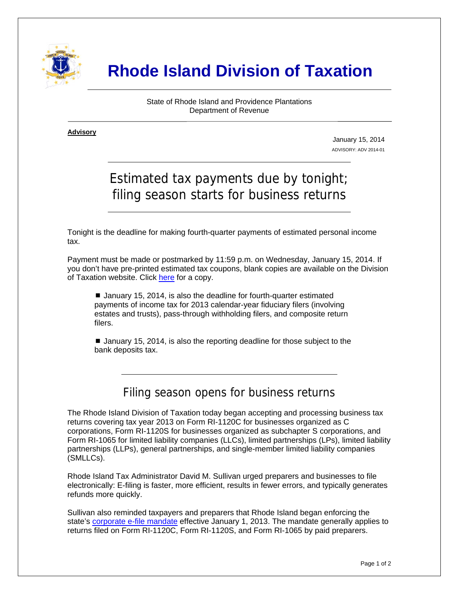

# **Rhode Island Division of Taxation**

State of Rhode Island and Providence Plantations Department of Revenue

**Advisory** ٦

i

January 15, 2014 ADVISORY: ADV 2014-01

# Estimated tax payments due by tonight; filing season starts for business returns

Tonight is the deadline for making fourth-quarter payments of estimated personal income tax.

Payment must be made or postmarked by 11:59 p.m. on Wednesday, January 15, 2014. If you don't have pre-printed estimated tax coupons, blank copies are available on the Division of Taxation website. Click [here](http://www.tax.ri.gov/forms/2013/Income/2013%20RI-1040ES%20-%20web%20version.pdf) for a copy.

■ January 15, 2014, is also the deadline for fourth-quarter estimated payments of income tax for 2013 calendar-year fiduciary filers (involving estates and trusts), pass-through withholding filers, and composite return filers.

■ January 15, 2014, is also the reporting deadline for those subject to the bank deposits tax.

## Filing season opens for business returns

The Rhode Island Division of Taxation today began accepting and processing business tax returns covering tax year 2013 on Form RI-1120C for businesses organized as C corporations, Form RI-1120S for businesses organized as subchapter S corporations, and Form RI-1065 for limited liability companies (LLCs), limited partnerships (LPs), limited liability partnerships (LLPs), general partnerships, and single-member limited liability companies (SMLLCs).

Rhode Island Tax Administrator David M. Sullivan urged preparers and businesses to file electronically: E-filing is faster, more efficient, results in fewer errors, and typically generates refunds more quickly.

Sullivan also reminded taxpayers and preparers that Rhode Island began enforcing the state's [corporate e-file mandate](http://www.tax.ri.gov/Advisory/ADV%202012-16.pdf) effective January 1, 2013. The mandate generally applies to returns filed on Form RI-1120C, Form RI-1120S, and Form RI-1065 by paid preparers.